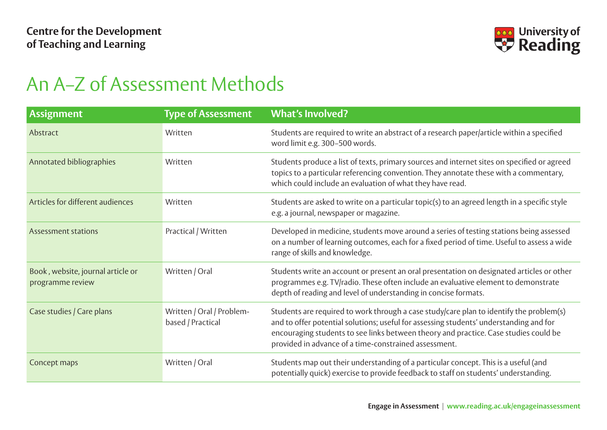

## An A–Z of Assessment Methods

| <b>Assignment</b>                                     | <b>Type of Assessment</b>                      | <b>What's Involved?</b>                                                                                                                                                                                                                                                                                                            |
|-------------------------------------------------------|------------------------------------------------|------------------------------------------------------------------------------------------------------------------------------------------------------------------------------------------------------------------------------------------------------------------------------------------------------------------------------------|
| Abstract                                              | Written                                        | Students are required to write an abstract of a research paper/article within a specified<br>word limit e.g. 300-500 words.                                                                                                                                                                                                        |
| Annotated bibliographies                              | Written                                        | Students produce a list of texts, primary sources and internet sites on specified or agreed<br>topics to a particular referencing convention. They annotate these with a commentary,<br>which could include an evaluation of what they have read.                                                                                  |
| Articles for different audiences                      | Written                                        | Students are asked to write on a particular topic(s) to an agreed length in a specific style<br>e.g. a journal, newspaper or magazine.                                                                                                                                                                                             |
| <b>Assessment stations</b>                            | Practical / Written                            | Developed in medicine, students move around a series of testing stations being assessed<br>on a number of learning outcomes, each for a fixed period of time. Useful to assess a wide<br>range of skills and knowledge.                                                                                                            |
| Book, website, journal article or<br>programme review | Written / Oral                                 | Students write an account or present an oral presentation on designated articles or other<br>programmes e.g. TV/radio. These often include an evaluative element to demonstrate<br>depth of reading and level of understanding in concise formats.                                                                                 |
| Case studies / Care plans                             | Written / Oral / Problem-<br>based / Practical | Students are required to work through a case study/care plan to identify the problem(s)<br>and to offer potential solutions; useful for assessing students' understanding and for<br>encouraging students to see links between theory and practice. Case studies could be<br>provided in advance of a time-constrained assessment. |
| Concept maps                                          | Written / Oral                                 | Students map out their understanding of a particular concept. This is a useful (and<br>potentially quick) exercise to provide feedback to staff on students' understanding.                                                                                                                                                        |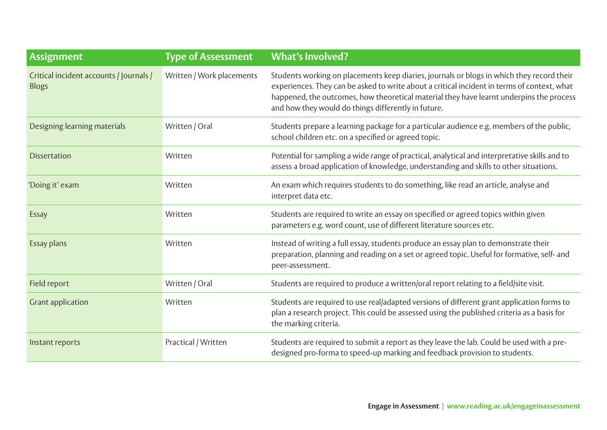| <b>Assignment</b>                                       | <b>Type of Assessment</b> | <b>What's Involved?</b>                                                                                                                                                                                                                                                                                                                    |
|---------------------------------------------------------|---------------------------|--------------------------------------------------------------------------------------------------------------------------------------------------------------------------------------------------------------------------------------------------------------------------------------------------------------------------------------------|
| Critical incident accounts / Journals /<br><b>Blogs</b> | Written / Work placements | Students working on placements keep diaries, journals or blogs in which they record their<br>experiences. They can be asked to write about a critical incident in terms of context, what<br>happened, the outcomes, how theoretical material they have learnt underpins the process<br>and how they would do things differently in future. |
| Designing learning materials                            | Written / Oral            | Students prepare a learning package for a particular audience e.g. members of the public,<br>school children etc. on a specified or agreed topic.                                                                                                                                                                                          |
| <b>Dissertation</b>                                     | Written                   | Potential for sampling a wide range of practical, analytical and interpretative skills and to<br>assess a broad application of knowledge, understanding and skills to other situations.                                                                                                                                                    |
| 'Doing it' exam                                         | Written                   | An exam which requires students to do something, like read an article, analyse and<br>interpret data etc.                                                                                                                                                                                                                                  |
| Essay                                                   | Written                   | Students are required to write an essay on specified or agreed topics within given<br>parameters e.g. word count, use of different literature sources etc.                                                                                                                                                                                 |
| Essay plans                                             | Written                   | Instead of writing a full essay, students produce an essay plan to demonstrate their<br>preparation, planning and reading on a set or agreed topic. Useful for formative, self- and<br>peer-assessment.                                                                                                                                    |
| Field report                                            | Written / Oral            | Students are required to produce a written/oral report relating to a field/site visit.                                                                                                                                                                                                                                                     |
| <b>Grant application</b>                                | Written                   | Students are required to use real/adapted versions of different grant application forms to<br>plan a research project. This could be assessed using the published criteria as a basis for<br>the marking criteria.                                                                                                                         |
| Instant reports                                         | Practical / Written       | Students are required to submit a report as they leave the lab. Could be used with a pre-<br>designed pro-forma to speed-up marking and feedback provision to students.                                                                                                                                                                    |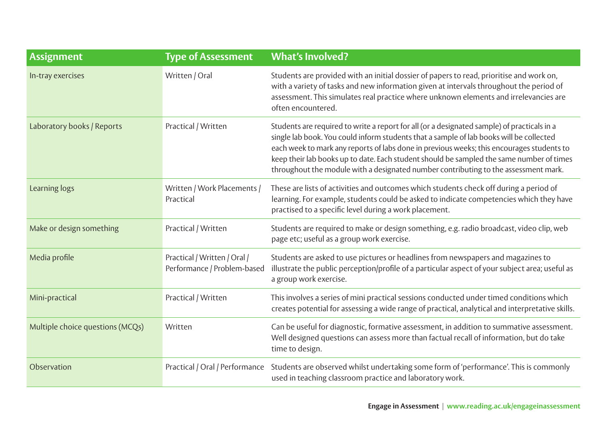| <b>Assignment</b>                | <b>Type of Assessment</b>                                   | <b>What's Involved?</b>                                                                                                                                                                                                                                                                                                                                                                                                                                                |
|----------------------------------|-------------------------------------------------------------|------------------------------------------------------------------------------------------------------------------------------------------------------------------------------------------------------------------------------------------------------------------------------------------------------------------------------------------------------------------------------------------------------------------------------------------------------------------------|
| In-tray exercises                | Written / Oral                                              | Students are provided with an initial dossier of papers to read, prioritise and work on,<br>with a variety of tasks and new information given at intervals throughout the period of<br>assessment. This simulates real practice where unknown elements and irrelevancies are<br>often encountered.                                                                                                                                                                     |
| Laboratory books / Reports       | Practical / Written                                         | Students are required to write a report for all (or a designated sample) of practicals in a<br>single lab book. You could inform students that a sample of lab books will be collected<br>each week to mark any reports of labs done in previous weeks; this encourages students to<br>keep their lab books up to date. Each student should be sampled the same number of times<br>throughout the module with a designated number contributing to the assessment mark. |
| Learning logs                    | Written / Work Placements /<br>Practical                    | These are lists of activities and outcomes which students check off during a period of<br>learning. For example, students could be asked to indicate competencies which they have<br>practised to a specific level during a work placement.                                                                                                                                                                                                                            |
| Make or design something         | Practical / Written                                         | Students are required to make or design something, e.g. radio broadcast, video clip, web<br>page etc; useful as a group work exercise.                                                                                                                                                                                                                                                                                                                                 |
| Media profile                    | Practical / Written / Oral /<br>Performance / Problem-based | Students are asked to use pictures or headlines from newspapers and magazines to<br>illustrate the public perception/profile of a particular aspect of your subject area; useful as<br>a group work exercise.                                                                                                                                                                                                                                                          |
| Mini-practical                   | Practical / Written                                         | This involves a series of mini practical sessions conducted under timed conditions which<br>creates potential for assessing a wide range of practical, analytical and interpretative skills.                                                                                                                                                                                                                                                                           |
| Multiple choice questions (MCQs) | Written                                                     | Can be useful for diagnostic, formative assessment, in addition to summative assessment.<br>Well designed questions can assess more than factual recall of information, but do take<br>time to design.                                                                                                                                                                                                                                                                 |
| Observation                      | Practical / Oral / Performance                              | Students are observed whilst undertaking some form of 'performance'. This is commonly<br>used in teaching classroom practice and laboratory work.                                                                                                                                                                                                                                                                                                                      |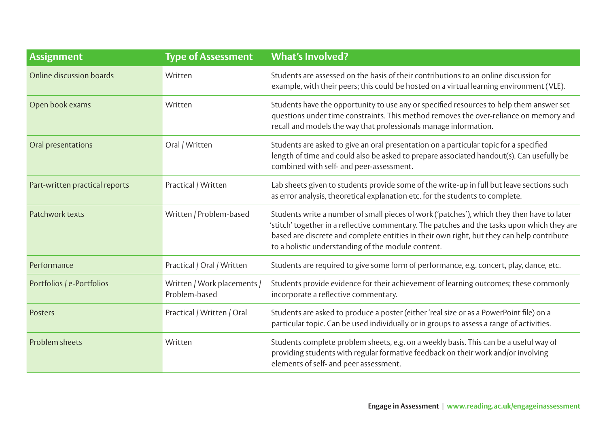| <b>Assignment</b>              | <b>Type of Assessment</b>                    | <b>What's Involved?</b>                                                                                                                                                                                                                                                                                                                      |
|--------------------------------|----------------------------------------------|----------------------------------------------------------------------------------------------------------------------------------------------------------------------------------------------------------------------------------------------------------------------------------------------------------------------------------------------|
| Online discussion boards       | Written                                      | Students are assessed on the basis of their contributions to an online discussion for<br>example, with their peers; this could be hosted on a virtual learning environment (VLE).                                                                                                                                                            |
| Open book exams                | Written                                      | Students have the opportunity to use any or specified resources to help them answer set<br>questions under time constraints. This method removes the over-reliance on memory and<br>recall and models the way that professionals manage information.                                                                                         |
| Oral presentations             | Oral / Written                               | Students are asked to give an oral presentation on a particular topic for a specified<br>length of time and could also be asked to prepare associated handout(s). Can usefully be<br>combined with self- and peer-assessment.                                                                                                                |
| Part-written practical reports | Practical / Written                          | Lab sheets given to students provide some of the write-up in full but leave sections such<br>as error analysis, theoretical explanation etc. for the students to complete.                                                                                                                                                                   |
| Patchwork texts                | Written / Problem-based                      | Students write a number of small pieces of work ('patches'), which they then have to later<br>'stitch' together in a reflective commentary. The patches and the tasks upon which they are<br>based are discrete and complete entities in their own right, but they can help contribute<br>to a holistic understanding of the module content. |
| Performance                    | Practical / Oral / Written                   | Students are required to give some form of performance, e.g. concert, play, dance, etc.                                                                                                                                                                                                                                                      |
| Portfolios / e-Portfolios      | Written / Work placements /<br>Problem-based | Students provide evidence for their achievement of learning outcomes; these commonly<br>incorporate a reflective commentary.                                                                                                                                                                                                                 |
| Posters                        | Practical / Written / Oral                   | Students are asked to produce a poster (either 'real size or as a PowerPoint file) on a<br>particular topic. Can be used individually or in groups to assess a range of activities.                                                                                                                                                          |
| Problem sheets                 | Written                                      | Students complete problem sheets, e.g. on a weekly basis. This can be a useful way of<br>providing students with regular formative feedback on their work and/or involving<br>elements of self- and peer assessment.                                                                                                                         |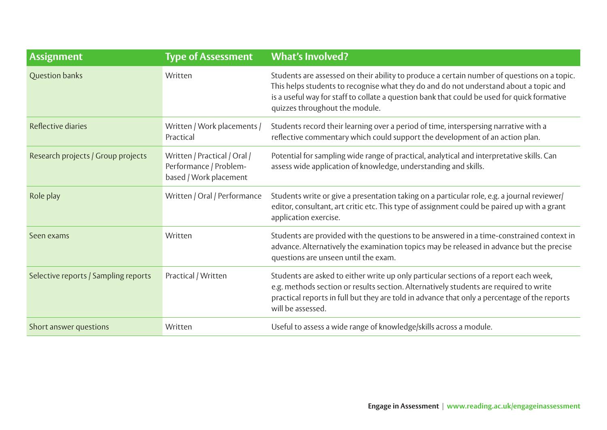| <b>Assignment</b>                    | <b>Type of Assessment</b>                                                        | <b>What's Involved?</b>                                                                                                                                                                                                                                                                                               |
|--------------------------------------|----------------------------------------------------------------------------------|-----------------------------------------------------------------------------------------------------------------------------------------------------------------------------------------------------------------------------------------------------------------------------------------------------------------------|
| <b>Question banks</b>                | Written                                                                          | Students are assessed on their ability to produce a certain number of questions on a topic.<br>This helps students to recognise what they do and do not understand about a topic and<br>is a useful way for staff to collate a question bank that could be used for quick formative<br>quizzes throughout the module. |
| Reflective diaries                   | Written / Work placements /<br>Practical                                         | Students record their learning over a period of time, interspersing narrative with a<br>reflective commentary which could support the development of an action plan.                                                                                                                                                  |
| Research projects / Group projects   | Written / Practical / Oral /<br>Performance / Problem-<br>based / Work placement | Potential for sampling wide range of practical, analytical and interpretative skills. Can<br>assess wide application of knowledge, understanding and skills.                                                                                                                                                          |
| Role play                            | Written / Oral / Performance                                                     | Students write or give a presentation taking on a particular role, e.g. a journal reviewer/<br>editor, consultant, art critic etc. This type of assignment could be paired up with a grant<br>application exercise.                                                                                                   |
| Seen exams                           | Written                                                                          | Students are provided with the questions to be answered in a time-constrained context in<br>advance. Alternatively the examination topics may be released in advance but the precise<br>questions are unseen until the exam.                                                                                          |
| Selective reports / Sampling reports | Practical / Written                                                              | Students are asked to either write up only particular sections of a report each week,<br>e.g. methods section or results section. Alternatively students are required to write<br>practical reports in full but they are told in advance that only a percentage of the reports<br>will be assessed.                   |
| Short answer questions               | Written                                                                          | Useful to assess a wide range of knowledge/skills across a module.                                                                                                                                                                                                                                                    |